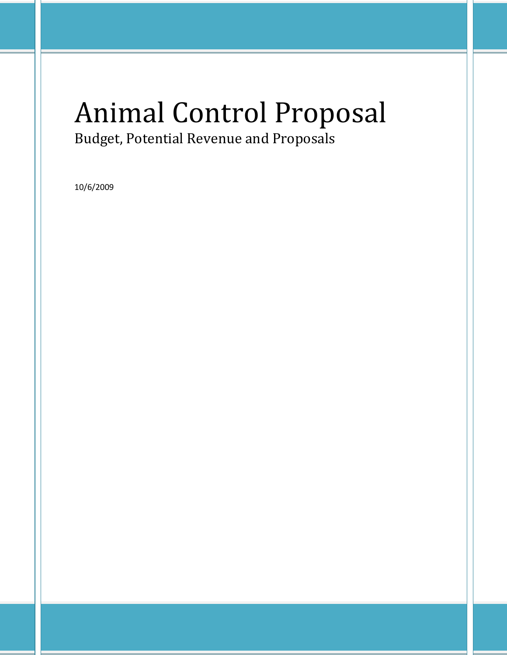# Animal Control Proposal Budget, Potential Revenue and Proposals

10/6/2009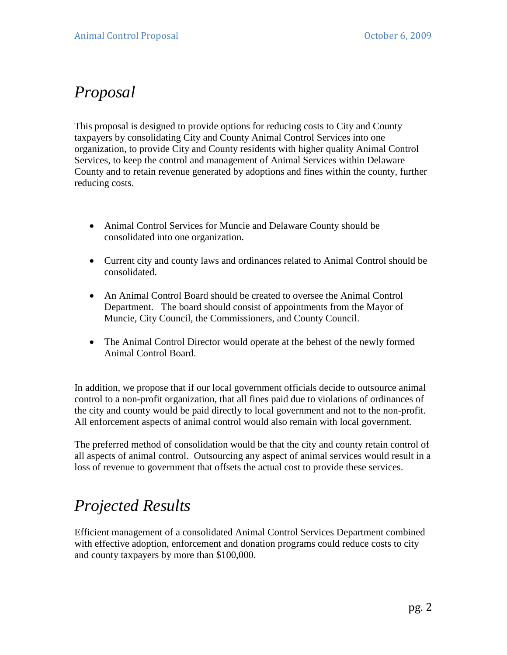### *Proposal*

This proposal is designed to provide options for reducing costs to City and County taxpayers by consolidating City and County Animal Control Services into one organization, to provide City and County residents with higher quality Animal Control Services, to keep the control and management of Animal Services within Delaware County and to retain revenue generated by adoptions and fines within the county, further reducing costs.

- Animal Control Services for Muncie and Delaware County should be consolidated into one organization.
- Current city and county laws and ordinances related to Animal Control should be consolidated.
- An Animal Control Board should be created to oversee the Animal Control Department. The board should consist of appointments from the Mayor of Muncie, City Council, the Commissioners, and County Council.
- The Animal Control Director would operate at the behest of the newly formed Animal Control Board.

In addition, we propose that if our local government officials decide to outsource animal control to a non-profit organization, that all fines paid due to violations of ordinances of the city and county would be paid directly to local government and not to the non-profit. All enforcement aspects of animal control would also remain with local government.

The preferred method of consolidation would be that the city and county retain control of all aspects of animal control. Outsourcing any aspect of animal services would result in a loss of revenue to government that offsets the actual cost to provide these services.

## *Projected Results*

Efficient management of a consolidated Animal Control Services Department combined with effective adoption, enforcement and donation programs could reduce costs to city and county taxpayers by more than \$100,000.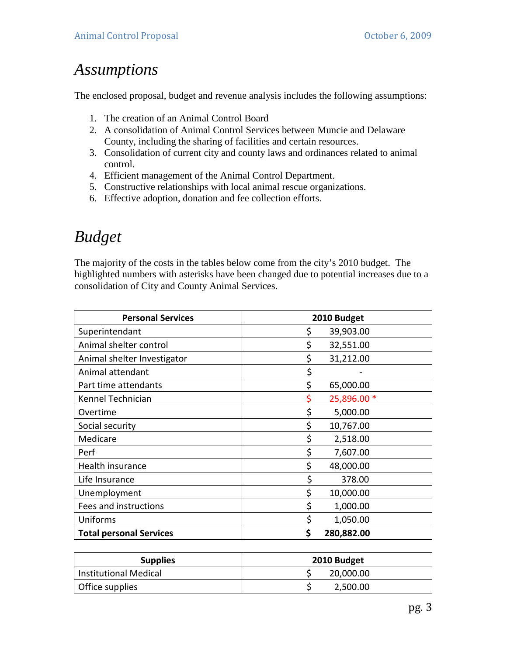### *Assumptions*

The enclosed proposal, budget and revenue analysis includes the following assumptions:

- 1. The creation of an Animal Control Board
- 2. A consolidation of Animal Control Services between Muncie and Delaware County, including the sharing of facilities and certain resources.
- 3. Consolidation of current city and county laws and ordinances related to animal control.
- 4. Efficient management of the Animal Control Department.
- 5. Constructive relationships with local animal rescue organizations.
- 6. Effective adoption, donation and fee collection efforts.

### *Budget*

The majority of the costs in the tables below come from the city's 2010 budget. The highlighted numbers with asterisks have been changed due to potential increases due to a consolidation of City and County Animal Services.

| <b>Personal Services</b>       | 2010 Budget       |
|--------------------------------|-------------------|
| Superintendant                 | \$<br>39,903.00   |
| Animal shelter control         | \$<br>32,551.00   |
| Animal shelter Investigator    | \$<br>31,212.00   |
| Animal attendant               | \$                |
| Part time attendants           | \$<br>65,000.00   |
| Kennel Technician              | 25,896.00 *<br>\$ |
| Overtime                       | \$<br>5,000.00    |
| Social security                | \$<br>10,767.00   |
| Medicare                       | \$<br>2,518.00    |
| Perf                           | \$<br>7,607.00    |
| Health insurance               | \$<br>48,000.00   |
| Life Insurance                 | \$<br>378.00      |
| Unemployment                   | \$<br>10,000.00   |
| Fees and instructions          | \$<br>1,000.00    |
| Uniforms                       | \$<br>1,050.00    |
| <b>Total personal Services</b> | \$<br>280,882.00  |

| <b>Supplies</b>              | 2010 Budget |  |
|------------------------------|-------------|--|
| <b>Institutional Medical</b> | 20,000.00   |  |
| Office supplies              | 2,500.00    |  |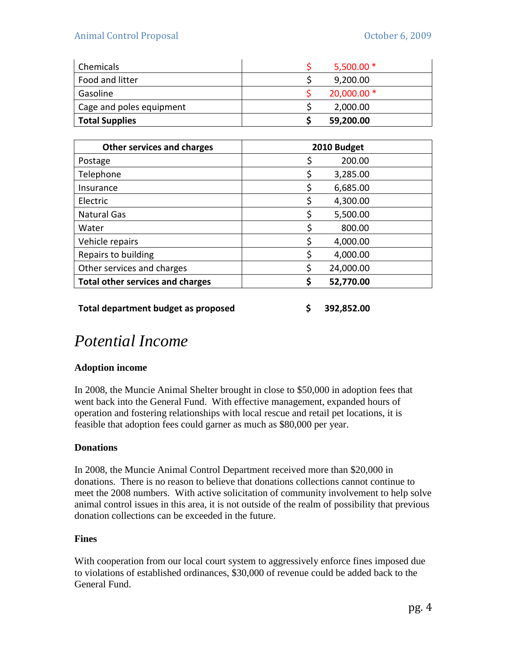| Chemicals                | $5,500.00*$  |
|--------------------------|--------------|
| Food and litter          | 9,200.00     |
| Gasoline                 | $20,000.00*$ |
| Cage and poles equipment | 2,000.00     |
| <b>Total Supplies</b>    | 59,200.00    |

| <b>Other services and charges</b>       | 2010 Budget    |
|-----------------------------------------|----------------|
| Postage                                 | 200.00         |
| Telephone                               | \$<br>3,285.00 |
| Insurance                               | \$<br>6,685.00 |
| Electric                                | 4,300.00<br>Ş  |
| <b>Natural Gas</b>                      | \$<br>5,500.00 |
| Water                                   | 800.00         |
| Vehicle repairs                         | \$<br>4,000.00 |
| Repairs to building                     | \$<br>4,000.00 |
| Other services and charges              | 24,000.00<br>S |
| <b>Total other services and charges</b> | 52,770.00<br>S |
|                                         |                |

**Total department budget as proposed \$ 392,852.00** 

### *Potential Income*

### **Adoption income**

In 2008, the Muncie Animal Shelter brought in close to \$50,000 in adoption fees that went back into the General Fund. With effective management, expanded hours of operation and fostering relationships with local rescue and retail pet locations, it is feasible that adoption fees could garner as much as \$80,000 per year.

### **Donations**

In 2008, the Muncie Animal Control Department received more than \$20,000 in donations. There is no reason to believe that donations collections cannot continue to meet the 2008 numbers. With active solicitation of community involvement to help solve animal control issues in this area, it is not outside of the realm of possibility that previous donation collections can be exceeded in the future.

### **Fines**

With cooperation from our local court system to aggressively enforce fines imposed due to violations of established ordinances, \$30,000 of revenue could be added back to the General Fund.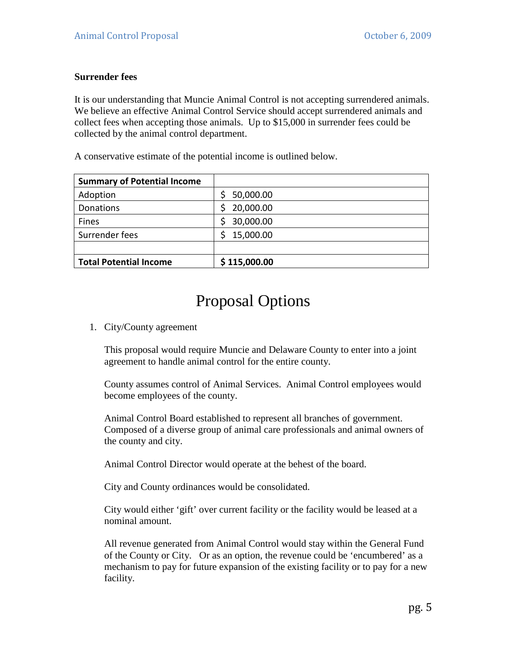#### **Surrender fees**

It is our understanding that Muncie Animal Control is not accepting surrendered animals. We believe an effective Animal Control Service should accept surrendered animals and collect fees when accepting those animals. Up to \$15,000 in surrender fees could be collected by the animal control department.

A conservative estimate of the potential income is outlined below.

| <b>Summary of Potential Income</b> |                 |
|------------------------------------|-----------------|
| Adoption                           | 50,000.00<br>Ş. |
| <b>Donations</b>                   | 20,000.00<br>S  |
| Fines                              | 30,000.00<br>S. |
| Surrender fees                     | 15,000.00<br>S  |
|                                    |                 |
| <b>Total Potential Income</b>      | \$115,000.00    |

### Proposal Options

1. City/County agreement

This proposal would require Muncie and Delaware County to enter into a joint agreement to handle animal control for the entire county.

County assumes control of Animal Services. Animal Control employees would become employees of the county.

Animal Control Board established to represent all branches of government. Composed of a diverse group of animal care professionals and animal owners of the county and city.

Animal Control Director would operate at the behest of the board.

City and County ordinances would be consolidated.

City would either 'gift' over current facility or the facility would be leased at a nominal amount.

All revenue generated from Animal Control would stay within the General Fund of the County or City. Or as an option, the revenue could be 'encumbered' as a mechanism to pay for future expansion of the existing facility or to pay for a new facility.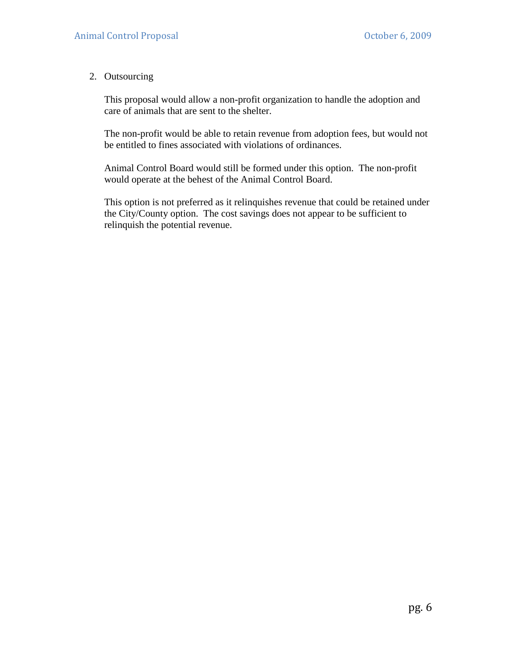#### 2. Outsourcing

This proposal would allow a non-profit organization to handle the adoption and care of animals that are sent to the shelter.

The non-profit would be able to retain revenue from adoption fees, but would not be entitled to fines associated with violations of ordinances.

Animal Control Board would still be formed under this option. The non-profit would operate at the behest of the Animal Control Board.

This option is not preferred as it relinquishes revenue that could be retained under the City/County option. The cost savings does not appear to be sufficient to relinquish the potential revenue.